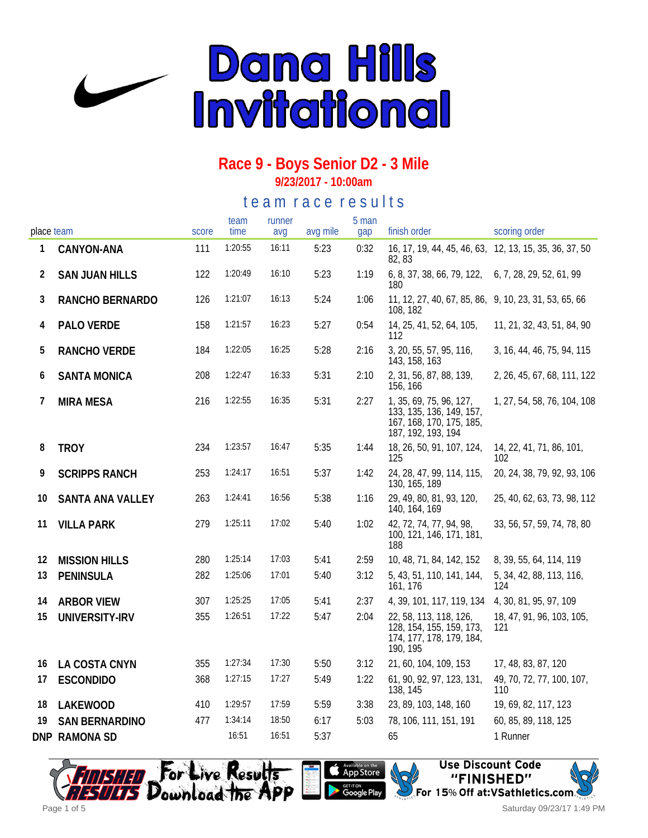

#### **Race 9 - Boys Senior D2 - 3 Mile 9/23/2017 - 10:00am**

### te a m r a c e r e s ults

| place team |                         | score | team<br>time | runner<br>avg | avg mile | 5 man<br>gap | finish order                                                                                          | scoring order                                          |
|------------|-------------------------|-------|--------------|---------------|----------|--------------|-------------------------------------------------------------------------------------------------------|--------------------------------------------------------|
| 1          | CANYON-ANA              | 111   | 1:20:55      | 16:11         | 5:23     | 0:32         | 82, 83                                                                                                | 16, 17, 19, 44, 45, 46, 63, 12, 13, 15, 35, 36, 37, 50 |
| 2          | <b>SAN JUAN HILLS</b>   | 122   | 1:20:49      | 16:10         | 5:23     | 1:19         | 6, 8, 37, 38, 66, 79, 122, 6, 7, 28, 29, 52, 61, 99<br>180                                            |                                                        |
| 3          | RANCHO BERNARDO         | 126   | 1:21:07      | 16:13         | 5:24     | 1:06         | 11, 12, 27, 40, 67, 85, 86, 9, 10, 23, 31, 53, 65, 66<br>108, 182                                     |                                                        |
| 4          | PALO VERDE              | 158   | 1:21:57      | 16:23         | 5:27     | 0:54         | 14, 25, 41, 52, 64, 105,<br>112                                                                       | 11, 21, 32, 43, 51, 84, 90                             |
| 5          | RANCHO VERDE            | 184   | 1:22:05      | 16:25         | 5:28     | 2:16         | 3, 20, 55, 57, 95, 116,<br>143, 158, 163                                                              | 3, 16, 44, 46, 75, 94, 115                             |
| 6          | <b>SANTA MONICA</b>     | 208   | 1:22:47      | 16:33         | 5:31     | 2:10         | 2, 31, 56, 87, 88, 139,<br>156, 166                                                                   | 2, 26, 45, 67, 68, 111, 122                            |
| 7          | <b>MIRA MESA</b>        | 216   | 1:22:55      | 16:35         | 5:31     | 2:27         | 1, 35, 69, 75, 96, 127,<br>133, 135, 136, 149, 157,<br>167, 168, 170, 175, 185,<br>187, 192, 193, 194 | 1, 27, 54, 58, 76, 104, 108                            |
| 8          | <b>TROY</b>             | 234   | 1:23:57      | 16:47         | 5:35     | 1:44         | 18, 26, 50, 91, 107, 124,<br>125                                                                      | 14, 22, 41, 71, 86, 101,<br>102                        |
| 9          | <b>SCRIPPS RANCH</b>    | 253   | 1:24:17      | 16:51         | 5:37     | 1:42         | 24, 28, 47, 99, 114, 115,<br>130, 165, 189                                                            | 20, 24, 38, 79, 92, 93, 106                            |
| 10         | <b>SANTA ANA VALLEY</b> | 263   | 1:24:41      | 16:56         | 5:38     | 1:16         | 29, 49, 80, 81, 93, 120,<br>140, 164, 169                                                             | 25, 40, 62, 63, 73, 98, 112                            |
| 11         | <b>VILLA PARK</b>       | 279   | 1:25:11      | 17:02         | 5:40     | 1:02         | 42, 72, 74, 77, 94, 98,<br>100, 121, 146, 171, 181,<br>188                                            | 33, 56, 57, 59, 74, 78, 80                             |
| 12         | <b>MISSION HILLS</b>    | 280   | 1:25:14      | 17:03         | 5:41     | 2:59         | 10, 48, 71, 84, 142, 152                                                                              | 8, 39, 55, 64, 114, 119                                |
| 13         | PENINSULA               | 282   | 1:25:06      | 17:01         | 5:40     | 3:12         | 5, 43, 51, 110, 141, 144,<br>161, 176                                                                 | 5, 34, 42, 88, 113, 116,<br>124                        |
| 14         | <b>ARBOR VIEW</b>       | 307   | 1:25:25      | 17:05         | 5:41     | 2:37         | 4, 39, 101, 117, 119, 134                                                                             | 4, 30, 81, 95, 97, 109                                 |
| 15         | UNIVERSITY-IRV          | 355   | 1:26:51      | 17:22         | 5:47     | 2:04         | 22, 58, 113, 118, 126,<br>128, 154, 155, 159, 173,<br>174, 177, 178, 179, 184,<br>190, 195            | 18, 47, 91, 96, 103, 105,<br>121                       |
| 16         | LA COSTA CNYN           | 355   | 1:27:34      | 17:30         | 5:50     | 3:12         | 21, 60, 104, 109, 153                                                                                 | 17, 48, 83, 87, 120                                    |
| 17         | <b>ESCONDIDO</b>        | 368   | 1:27:15      | 17:27         | 5:49     | 1:22         | 61, 90, 92, 97, 123, 131,<br>138, 145                                                                 | 49, 70, 72, 77, 100, 107,<br>110                       |
| 18         | LAKEWOOD                | 410   | 1:29:57      | 17:59         | 5:59     | 3:38         | 23, 89, 103, 148, 160                                                                                 | 19, 69, 82, 117, 123                                   |
| 19         | <b>SAN BERNARDINO</b>   | 477   | 1:34:14      | 18:50         | 6:17     | 5:03         | 78, 106, 111, 151, 191                                                                                | 60, 85, 89, 118, 125                                   |
|            | DNP RAMONA SD           |       | 16:51        | 16:51         | 5:37     |              | 65                                                                                                    | 1 Runner                                               |





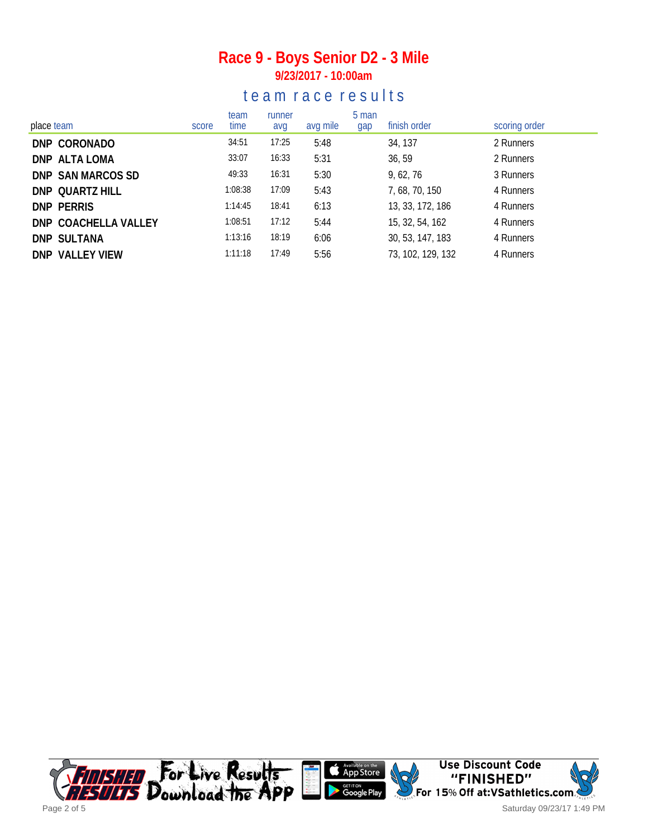### **Race 9 - Boys Senior D2 - 3 Mile 9/23/2017 - 10:00am**

### te a m r a c e r e s ults

| place team           | score | team<br>time | runner<br>avg | avg mile | 5 man<br>gap | finish order      | scoring order |
|----------------------|-------|--------------|---------------|----------|--------------|-------------------|---------------|
| DNP CORONADO         |       | 34:51        | 17:25         | 5:48     |              | 34, 137           | 2 Runners     |
| DNP ALTA LOMA        |       | 33:07        | 16:33         | 5:31     |              | 36, 59            | 2 Runners     |
| DNP SAN MARCOS SD    |       | 49:33        | 16:31         | 5:30     |              | 9,62,76           | 3 Runners     |
| DNP QUARTZ HILL      |       | 1:08:38      | 17:09         | 5:43     |              | 7, 68, 70, 150    | 4 Runners     |
| DNP PERRIS           |       | 1:14:45      | 18:41         | 6:13     |              | 13, 33, 172, 186  | 4 Runners     |
| DNP COACHELLA VALLEY |       | 1:08:51      | 17:12         | 5:44     |              | 15, 32, 54, 162   | 4 Runners     |
| <b>DNP SULTANA</b>   |       | 1:13:16      | 18:19         | 6:06     |              | 30, 53, 147, 183  | 4 Runners     |
| DNP VALLEY VIEW      |       | 1:11:18      | 17:49         | 5:56     |              | 73, 102, 129, 132 | 4 Runners     |



Saturday 09/23/17 1:49 PM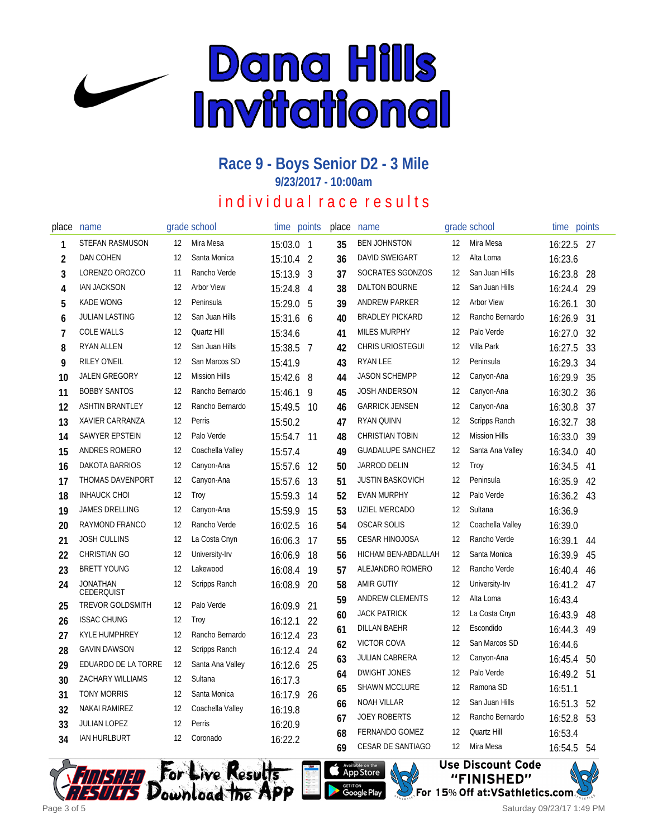

#### **Race 9 - Boys Senior D2 - 3 Mile 9/23/2017 - 10:00am**

# individual race results

| place          | name                                 |    | grade school         | time    | points         | place | name                     |    | grade school         | time points |    |
|----------------|--------------------------------------|----|----------------------|---------|----------------|-------|--------------------------|----|----------------------|-------------|----|
| 1              | STEFAN RASMUSON                      | 12 | Mira Mesa            | 15:03.0 | $\overline{1}$ | 35    | <b>BEN JOHNSTON</b>      | 12 | Mira Mesa            | 16:22.5 27  |    |
| $\overline{2}$ | <b>DAN COHEN</b>                     | 12 | Santa Monica         | 15:10.4 | $\overline{2}$ | 36    | DAVID SWEIGART           | 12 | Alta Loma            | 16:23.6     |    |
| 3              | LORENZO OROZCO                       | 11 | Rancho Verde         | 15:13.9 | 3              | 37    | SOCRATES SGONZOS         | 12 | San Juan Hills       | 16:23.8     | 28 |
| 4              | <b>IAN JACKSON</b>                   | 12 | <b>Arbor View</b>    | 15:24.8 | 4              | 38    | DALTON BOURNE            | 12 | San Juan Hills       | 16:24.4     | 29 |
| 5              | <b>KADE WONG</b>                     | 12 | Peninsula            | 15:29.0 | 5              | 39    | ANDREW PARKER            | 12 | <b>Arbor View</b>    | 16:26.1     | 30 |
| 6              | <b>JULIAN LASTING</b>                | 12 | San Juan Hills       | 15:31.6 | 6              | 40    | <b>BRADLEY PICKARD</b>   | 12 | Rancho Bernardo      | 16:26.9     | 31 |
| $\overline{7}$ | <b>COLE WALLS</b>                    | 12 | Quartz Hill          | 15:34.6 |                | 41    | <b>MILES MURPHY</b>      | 12 | Palo Verde           | 16:27.0     | 32 |
| 8              | <b>RYAN ALLEN</b>                    | 12 | San Juan Hills       | 15:38.5 | 7              | 42    | <b>CHRIS URIOSTEGUI</b>  | 12 | Villa Park           | 16:27.5     | 33 |
| 9              | <b>RILEY O'NEIL</b>                  | 12 | San Marcos SD        | 15:41.9 |                | 43    | <b>RYAN LEE</b>          | 12 | Peninsula            | 16:29.3     | 34 |
| 10             | JALEN GREGORY                        | 12 | <b>Mission Hills</b> | 15:42.6 | 8              | 44    | <b>JASON SCHEMPP</b>     | 12 | Canyon-Ana           | 16:29.9     | 35 |
| 11             | <b>BOBBY SANTOS</b>                  | 12 | Rancho Bernardo      | 15:46.1 | 9              | 45    | <b>JOSH ANDERSON</b>     | 12 | Canyon-Ana           | 16:30.2     | 36 |
| 12             | <b>ASHTIN BRANTLEY</b>               | 12 | Rancho Bernardo      | 15:49.5 | -10            | 46    | <b>GARRICK JENSEN</b>    | 12 | Canyon-Ana           | 16:30.8     | 37 |
| 13             | XAVIER CARRANZA                      | 12 | Perris               | 15:50.2 |                | 47    | RYAN QUINN               | 12 | Scripps Ranch        | 16:32.7     | 38 |
| 14             | SAWYER EPSTEIN                       | 12 | Palo Verde           | 15:54.7 | 11             | 48    | <b>CHRISTIAN TOBIN</b>   | 12 | <b>Mission Hills</b> | 16:33.0     | 39 |
| 15             | ANDRES ROMERO                        | 12 | Coachella Valley     | 15:57.4 |                | 49    | <b>GUADALUPE SANCHEZ</b> | 12 | Santa Ana Valley     | 16:34.0     | 40 |
| 16             | DAKOTA BARRIOS                       | 12 | Canyon-Ana           | 15:57.6 | 12             | 50    | <b>JARROD DELIN</b>      | 12 | Troy                 | 16:34.5     | 41 |
| 17             | THOMAS DAVENPORT                     | 12 | Canyon-Ana           | 15:57.6 | 13             | 51    | <b>JUSTIN BASKOVICH</b>  | 12 | Peninsula            | 16:35.9     | 42 |
| 18             | <b>INHAUCK CHOI</b>                  | 12 | Troy                 | 15:59.3 | 14             | 52    | <b>EVAN MURPHY</b>       | 12 | Palo Verde           | 16:36.2     | 43 |
| 19             | <b>JAMES DRELLING</b>                | 12 | Canyon-Ana           | 15:59.9 | 15             | 53    | UZIEL MERCADO            | 12 | Sultana              | 16:36.9     |    |
| 20             | RAYMOND FRANCO                       | 12 | Rancho Verde         | 16:02.5 | 16             | 54    | <b>OSCAR SOLIS</b>       | 12 | Coachella Valley     | 16:39.0     |    |
| 21             | <b>JOSH CULLINS</b>                  | 12 | La Costa Cnyn        | 16:06.3 | 17             | 55    | <b>CESAR HINOJOSA</b>    | 12 | Rancho Verde         | 16:39.1     | 44 |
| 22             | <b>CHRISTIAN GO</b>                  | 12 | University-Irv       | 16:06.9 | 18             | 56    | HICHAM BEN-ABDALLAH      | 12 | Santa Monica         | 16:39.9     | 45 |
| 23             | <b>BRETT YOUNG</b>                   | 12 | Lakewood             | 16:08.4 | 19             | 57    | ALEJANDRO ROMERO         | 12 | Rancho Verde         | 16:40.4     | 46 |
| 24             | <b>JONATHAN</b><br><b>CEDERQUIST</b> | 12 | Scripps Ranch        | 16:08.9 | 20             | 58    | <b>AMIR GUTIY</b>        | 12 | University-Irv       | 16:41.2     | 47 |
| 25             | <b>TREVOR GOLDSMITH</b>              | 12 | Palo Verde           | 16:09.9 | 21             | 59    | <b>ANDREW CLEMENTS</b>   | 12 | Alta Loma            | 16:43.4     |    |
| 26             | <b>ISSAC CHUNG</b>                   | 12 | Troy                 | 16:12.1 | 22             | 60    | <b>JACK PATRICK</b>      | 12 | La Costa Cnyn        | 16:43.9     | 48 |
| 27             | KYLE HUMPHREY                        | 12 | Rancho Bernardo      | 16:12.4 | 23             | 61    | <b>DILLAN BAEHR</b>      | 12 | Escondido            | 16:44.3     | 49 |
| 28             | <b>GAVIN DAWSON</b>                  | 12 | <b>Scripps Ranch</b> | 16:12.4 | 24             | 62    | <b>VICTOR COVA</b>       | 12 | San Marcos SD        | 16:44.6     |    |
| 29             | EDUARDO DE LA TORRE                  | 12 | Santa Ana Valley     | 16:12.6 | 25             | 63    | <b>JULIAN CABRERA</b>    | 12 | Canyon-Ana           | 16:45.4     | 50 |
| 30             | <b>ZACHARY WILLIAMS</b>              | 12 | Sultana              | 16:17.3 |                | 64    | <b>DWIGHT JONES</b>      | 12 | Palo Verde           | 16:49.2     | 51 |
| 31             | <b>TONY MORRIS</b>                   | 12 | Santa Monica         | 16:17.9 | - 26           | 65    | SHAWN MCCLURE            | 12 | Ramona SD            | 16:51.1     |    |
| 32             | NAKAI RAMIREZ                        | 12 | Coachella Valley     | 16:19.8 |                | 66    | NOAH VILLAR              | 12 | San Juan Hills       | 16:51.3     | 52 |
| 33             | <b>JULIAN LOPEZ</b>                  | 12 | Perris               | 16:20.9 |                | 67    | <b>JOEY ROBERTS</b>      | 12 | Rancho Bernardo      | 16:52.8     | 53 |
| 34             | <b>IAN HURLBURT</b>                  | 12 | Coronado             | 16:22.2 |                | 68    | <b>FERNANDO GOMEZ</b>    | 12 | Quartz Hill          | 16:53.4     |    |
|                |                                      |    |                      |         |                | 69    | <b>CESAR DE SANTIAGO</b> | 12 | Mira Mesa            | 16:54.5     | 54 |





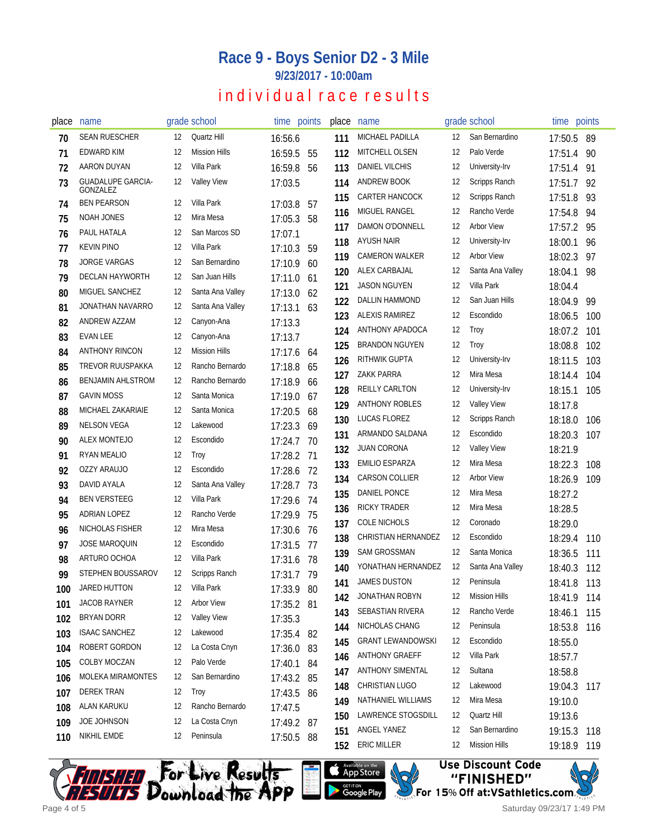## **Race 9 - Boys Senior D2 - 3 Mile**

**9/23/2017 - 10:00am**

# individual race results

| place | name                                 |    | grade school         |            | time points | place | name                     |    | grade school         | time points |      |
|-------|--------------------------------------|----|----------------------|------------|-------------|-------|--------------------------|----|----------------------|-------------|------|
| 70    | <b>SEAN RUESCHER</b>                 | 12 | Quartz Hill          | 16:56.6    |             | 111   | MICHAEL PADILLA          | 12 | San Bernardino       | 17:50.5     | -89  |
| 71    | <b>EDWARD KIM</b>                    | 12 | <b>Mission Hills</b> | 16:59.5    | 55          | 112   | MITCHELL OLSEN           | 12 | Palo Verde           | 17:51.4     | 90   |
| 72    | AARON DUYAN                          | 12 | Villa Park           | 16:59.8    | 56          | 113   | <b>DANIEL VILCHIS</b>    | 12 | University-Irv       | 17:51.4     | 91   |
| 73    | <b>GUADALUPE GARCIA-</b><br>GONZALEZ | 12 | <b>Valley View</b>   | 17:03.5    |             | 114   | <b>ANDREW BOOK</b>       | 12 | Scripps Ranch        | 17:51.7     | 92   |
| 74    | <b>BEN PEARSON</b>                   | 12 | Villa Park           | 17:03.8    | 57          | 115   | <b>CARTER HANCOCK</b>    | 12 | Scripps Ranch        | 17:51.8     | 93   |
| 75    | NOAH JONES                           | 12 | Mira Mesa            | 17:05.3    | 58          | 116   | MIGUEL RANGEL            | 12 | Rancho Verde         | 17:54.8     | 94   |
| 76    | PAUL HATALA                          | 12 | San Marcos SD        | 17:07.1    |             | 117   | DAMON O'DONNELL          | 12 | <b>Arbor View</b>    | 17:57.2     | 95   |
| 77    | <b>KEVIN PINO</b>                    | 12 | Villa Park           | 17:10.3    | 59          | 118   | <b>AYUSH NAIR</b>        | 12 | University-Irv       | 18:00.1     | 96   |
| 78    | <b>JORGE VARGAS</b>                  | 12 | San Bernardino       | 17:10.9    | 60          | 119   | <b>CAMERON WALKER</b>    | 12 | <b>Arbor View</b>    | 18:02.3     | 97   |
| 79    | DECLAN HAYWORTH                      | 12 | San Juan Hills       | 17:11.0 61 |             | 120   | ALEX CARBAJAL            | 12 | Santa Ana Valley     | 18:04.1     | 98   |
| 80    | MIGUEL SANCHEZ                       | 12 | Santa Ana Valley     | 17:13.0    | 62          | 121   | <b>JASON NGUYEN</b>      | 12 | Villa Park           | 18:04.4     |      |
| 81    | JONATHAN NAVARRO                     | 12 | Santa Ana Valley     | 17:13.1    | 63          | 122   | DALLIN HAMMOND           | 12 | San Juan Hills       | 18:04.9     | 99   |
| 82    | ANDREW AZZAM                         | 12 | Canyon-Ana           | 17:13.3    |             | 123   | <b>ALEXIS RAMIREZ</b>    | 12 | Escondido            | 18:06.5     | 100  |
| 83    | <b>EVAN LEE</b>                      | 12 | Canyon-Ana           | 17:13.7    |             | 124   | ANTHONY APADOCA          | 12 | <b>Troy</b>          | 18:07.2     | 101  |
| 84    | <b>ANTHONY RINCON</b>                | 12 | <b>Mission Hills</b> | 17:17.6    | 64          | 125   | <b>BRANDON NGUYEN</b>    | 12 | Troy                 | 18:08.8     | 102  |
| 85    | TREVOR RUUSPAKKA                     | 12 | Rancho Bernardo      | 17:18.8    | 65          | 126   | RITHWIK GUPTA            | 12 | University-Irv       | 18:11.5     | 103  |
| 86    | <b>BENJAMIN AHLSTROM</b>             | 12 | Rancho Bernardo      | 17:18.9    | 66          | 127   | <b>ZAKK PARRA</b>        | 12 | Mira Mesa            | 18:14.4     | 104  |
| 87    | <b>GAVIN MOSS</b>                    | 12 | Santa Monica         | 17:19.0    | 67          | 128   | <b>REILLY CARLTON</b>    | 12 | University-Irv       | 18:15.1     | 105  |
| 88    | MICHAEL ZAKARIAIE                    | 12 | Santa Monica         | 17:20.5    | 68          | 129   | <b>ANTHONY ROBLES</b>    | 12 | <b>Valley View</b>   | 18:17.8     |      |
| 89    | <b>NELSON VEGA</b>                   | 12 | Lakewood             | 17:23.3    | 69          | 130   | LUCAS FLOREZ             | 12 | Scripps Ranch        | 18:18.0     | 106  |
| 90    | ALEX MONTEJO                         | 12 | Escondido            | 17:24.7    | 70          | 131   | ARMANDO SALDANA          | 12 | Escondido            | 18:20.3     | 107  |
| 91    | <b>RYAN MEALIO</b>                   | 12 | Troy                 | 17:28.2    | -71         | 132   | <b>JUAN CORONA</b>       | 12 | <b>Valley View</b>   | 18:21.9     |      |
| 92    | OZZY ARAUJO                          | 12 | Escondido            | 17:28.6    | 72          | 133   | <b>EMILIO ESPARZA</b>    | 12 | Mira Mesa            | 18:22.3     | 108  |
| 93    | DAVID AYALA                          | 12 | Santa Ana Valley     | 17:28.7    | 73          | 134   | <b>CARSON COLLIER</b>    | 12 | <b>Arbor View</b>    | 18:26.9     | 109  |
| 94    | <b>BEN VERSTEEG</b>                  | 12 | Villa Park           | 17:29.6    | 74          | 135   | DANIEL PONCE             | 12 | Mira Mesa            | 18:27.2     |      |
| 95    | ADRIAN LOPEZ                         | 12 | Rancho Verde         | 17:29.9    | 75          | 136   | <b>RICKY TRADER</b>      | 12 | Mira Mesa            | 18:28.5     |      |
| 96    | <b>NICHOLAS FISHER</b>               | 12 | Mira Mesa            | 17:30.6    | 76          | 137   | <b>COLE NICHOLS</b>      | 12 | Coronado             | 18:29.0     |      |
| 97    | <b>JOSE MAROQUIN</b>                 | 12 | Escondido            | 17:31.5    | -77         | 138   | CHRISTIAN HERNANDEZ      | 12 | Escondido            | 18:29.4     | 110  |
| 98    | ARTURO OCHOA                         | 12 | Villa Park           | 17:31.6    | 78          | 139   | SAM GROSSMAN             | 12 | Santa Monica         | 18:36.5     | 111  |
| 99    | STEPHEN BOUSSAROV                    | 12 | Scripps Ranch        | 17:31.7    | - 79        | 140   | YONATHAN HERNANDEZ       | 12 | Santa Ana Valley     | 18:40.3     | 112  |
| 100   | JARED HUTTON                         | 12 | Villa Park           | 17:33.9 80 |             | 141   | <b>JAMES DUSTON</b>      | 12 | Peninsula            | 18:41.8 113 |      |
| 101   | JACOB RAYNER                         | 12 | <b>Arbor View</b>    | 17:35.2 81 |             | 142   | JONATHAN ROBYN           | 12 | <b>Mission Hills</b> | 18:41.9     | 114  |
| 102   | <b>BRYAN DORR</b>                    | 12 | <b>Valley View</b>   | 17:35.3    |             | 143   | SEBASTIAN RIVERA         | 12 | Rancho Verde         | 18:46.1     | 115  |
| 103   | <b>ISAAC SANCHEZ</b>                 | 12 | Lakewood             | 17:35.4 82 |             | 144   | NICHOLAS CHANG           | 12 | Peninsula            | 18:53.8     | 116  |
| 104   | ROBERT GORDON                        | 12 | La Costa Cnyn        | 17:36.0    | 83          | 145   | <b>GRANT LEWANDOWSKI</b> | 12 | Escondido            | 18:55.0     |      |
| 105   | COLBY MOCZAN                         | 12 | Palo Verde           | 17:40.1    | 84          | 146   | ANTHONY GRAEFF           | 12 | Villa Park           | 18:57.7     |      |
| 106   | MOLEKA MIRAMONTES                    | 12 | San Bernardino       | 17:43.2 85 |             | 147   | ANTHONY SIMENTAL         | 12 | Sultana              | 18:58.8     |      |
| 107   | <b>DEREK TRAN</b>                    | 12 | Troy                 | 17:43.5 86 |             | 148   | CHRISTIAN LUGO           | 12 | Lakewood             | 19:04.3     | -117 |
| 108   | ALAN KARUKU                          | 12 | Rancho Bernardo      | 17:47.5    |             | 149   | NATHANIEL WILLIAMS       | 12 | Mira Mesa            | 19:10.0     |      |
| 109   | JOE JOHNSON                          | 12 | La Costa Cnyn        | 17:49.2 87 |             | 150   | LAWRENCE STOGSDILL       | 12 | Quartz Hill          | 19:13.6     |      |
| 110   | NIKHIL EMDE                          | 12 | Peninsula            | 17:50.5 88 |             | 151   | ANGEL YANEZ              | 12 | San Bernardino       | 19:15.3     | 118  |
|       |                                      |    |                      |            |             | 152   | <b>ERIC MILLER</b>       | 12 | <b>Mission Hills</b> | 19:18.9 119 |      |